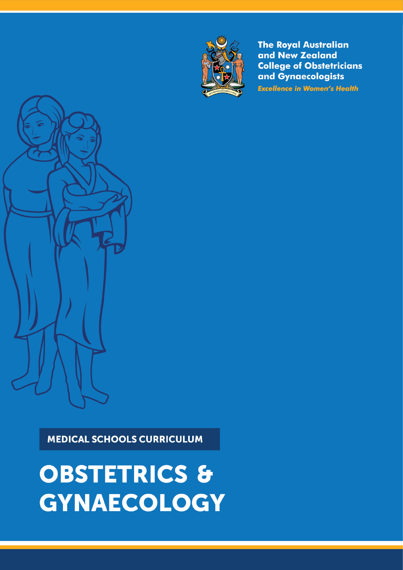# **OBSTETRICS &** GYNAECOLOGY

Medical Schools Curriculum Page 1 of 28 RANZCOG 2018

**MEDICAL SCHOOLS CURRICULUM** 





**The Royal Australian** and New Zealand **College of Obstetricians** and Gynaecologists **Excellence in Women's Health**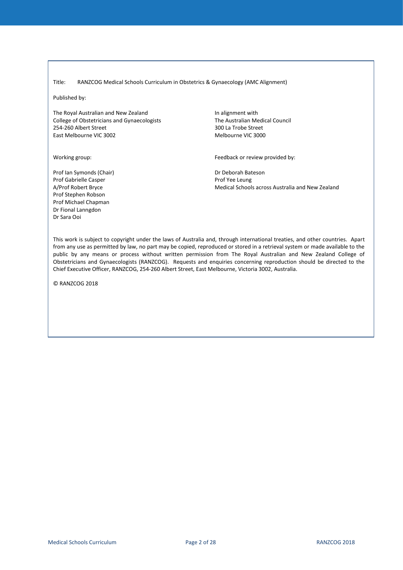#### <span id="page-1-0"></span>Title: RANZCOG Medical Schools Curriculum in Obstetrics & Gynaecology (AMC Alignment)

Published by:

The Royal Australian and New Zealand College of Obstetricians and Gynaecologists 254-260 Albert Street East Melbourne VIC 3002

Working group:

In alignment with The Australian Medical Council 300 La Trobe Street Melbourne VIC 3000

Feedback or review provided by:

Dr Deborah Bateson Prof Yee Leung Medical Schools across Australia and New Zealand

Prof Gabrielle Casper A/Prof Robert Bryce Prof Stephen Robson Prof Michael Chapman Dr Fional Lanngdon Dr Sara Ooi

Prof Ian Symonds (Chair)

This work is subject to copyright under the laws of Australia and, through international treaties, and other countries. Apart from any use as permitted by law, no part may be copied, reproduced or stored in a retrieval system or made available to the public by any means or process without written permission from The Royal Australian and New Zealand College of Obstetricians and Gynaecologists (RANZCOG). Requests and enquiries concerning reproduction should be directed to the Chief Executive Officer, RANZCOG, 254-260 Albert Street, East Melbourne, Victoria 3002, Australia.

© RANZCOG 2018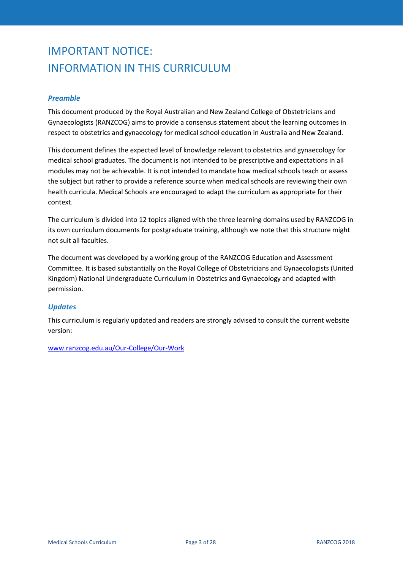# IMPORTANT NOTICE: INFORMATION IN THIS CURRICULUM

#### *Preamble*

This document produced by the Royal Australian and New Zealand College of Obstetricians and Gynaecologists (RANZCOG) aims to provide a consensus statement about the learning outcomes in respect to obstetrics and gynaecology for medical school education in Australia and New Zealand.

This document defines the expected level of knowledge relevant to obstetrics and gynaecology for medical school graduates. The document is not intended to be prescriptive and expectations in all modules may not be achievable. It is not intended to mandate how medical schools teach or assess the subject but rather to provide a reference source when medical schools are reviewing their own health curricula. Medical Schools are encouraged to adapt the curriculum as appropriate for their context.

The curriculum is divided into 12 topics aligned with the three learning domains used by RANZCOG in its own curriculum documents for postgraduate training, although we note that this structure might not suit all faculties.

The document was developed by a working group of the RANZCOG Education and Assessment Committee. It is based substantially on the Royal College of Obstetricians and Gynaecologists (United Kingdom) National Undergraduate Curriculum in Obstetrics and Gynaecology and adapted with permission.

#### *Updates*

This curriculum is regularly updated and readers are strongly advised to consult the current website version:

[www.ranzcog.edu.au/Our-College/Our-Work](https://www.ranzcog.edu.au/Our-College/Our-Work)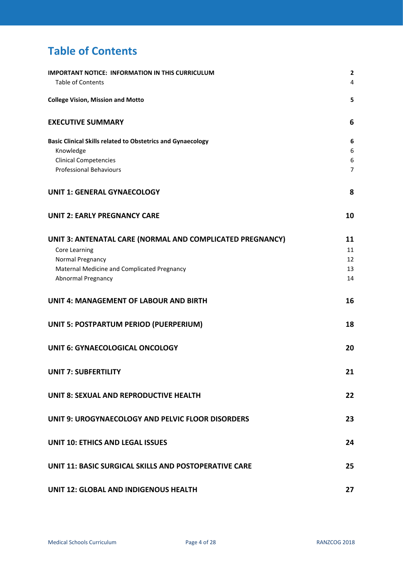# <span id="page-3-0"></span>**Table of Contents**

| <b>IMPORTANT NOTICE: INFORMATION IN THIS CURRICULUM</b><br><b>Table of Contents</b> | $\overline{2}$<br>4 |
|-------------------------------------------------------------------------------------|---------------------|
| <b>College Vision, Mission and Motto</b>                                            | 5                   |
| <b>EXECUTIVE SUMMARY</b>                                                            | 6                   |
| <b>Basic Clinical Skills related to Obstetrics and Gynaecology</b>                  | 6                   |
| Knowledge                                                                           | 6                   |
| <b>Clinical Competencies</b>                                                        | 6                   |
| <b>Professional Behaviours</b>                                                      | $\overline{7}$      |
| <b>UNIT 1: GENERAL GYNAECOLOGY</b>                                                  | 8                   |
| <b>UNIT 2: EARLY PREGNANCY CARE</b>                                                 | 10                  |
| UNIT 3: ANTENATAL CARE (NORMAL AND COMPLICATED PREGNANCY)                           | 11                  |
| Core Learning                                                                       | 11                  |
| Normal Pregnancy                                                                    | 12                  |
| Maternal Medicine and Complicated Pregnancy                                         | 13                  |
| Abnormal Pregnancy                                                                  | 14                  |
| <b>UNIT 4: MANAGEMENT OF LABOUR AND BIRTH</b>                                       | 16                  |
| <b>UNIT 5: POSTPARTUM PERIOD (PUERPERIUM)</b>                                       | 18                  |
| <b>UNIT 6: GYNAECOLOGICAL ONCOLOGY</b>                                              | 20                  |
| <b>UNIT 7: SUBFERTILITY</b>                                                         | 21                  |
| UNIT 8: SEXUAL AND REPRODUCTIVE HEALTH                                              | 22                  |
| UNIT 9: UROGYNAECOLOGY AND PELVIC FLOOR DISORDERS                                   | 23                  |
| <b>UNIT 10: ETHICS AND LEGAL ISSUES</b>                                             | 24                  |
| UNIT 11: BASIC SURGICAL SKILLS AND POSTOPERATIVE CARE                               | 25                  |
| UNIT 12: GLOBAL AND INDIGENOUS HEALTH                                               | 27                  |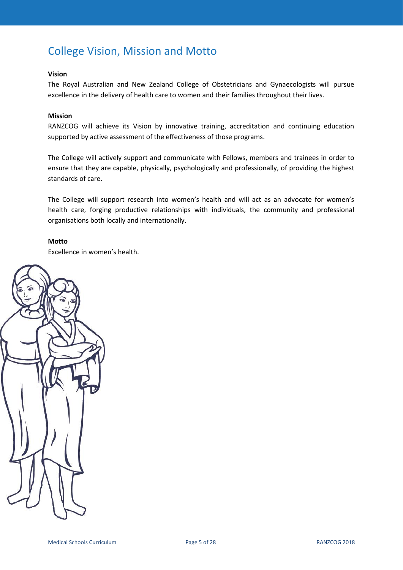# <span id="page-4-0"></span>College Vision, Mission and Motto

#### **Vision**

The Royal Australian and New Zealand College of Obstetricians and Gynaecologists will pursue excellence in the delivery of health care to women and their families throughout their lives.

#### **Mission**

RANZCOG will achieve its Vision by innovative training, accreditation and continuing education supported by active assessment of the effectiveness of those programs.

The College will actively support and communicate with Fellows, members and trainees in order to ensure that they are capable, physically, psychologically and professionally, of providing the highest standards of care.

The College will support research into women's health and will act as an advocate for women's health care, forging productive relationships with individuals, the community and professional organisations both locally and internationally.

#### **Motto**

Excellence in women's health.

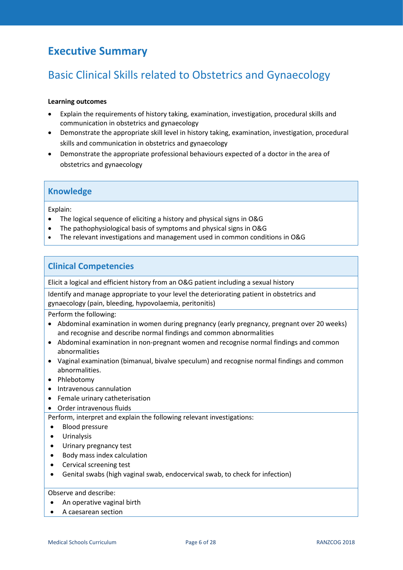### <span id="page-5-0"></span>**Executive Summary**

# <span id="page-5-1"></span>Basic Clinical Skills related to Obstetrics and Gynaecology

#### **Learning outcomes**

- Explain the requirements of history taking, examination, investigation, procedural skills and communication in obstetrics and gynaecology
- Demonstrate the appropriate skill level in history taking, examination, investigation, procedural skills and communication in obstetrics and gynaecology
- Demonstrate the appropriate professional behaviours expected of a doctor in the area of obstetrics and gynaecology

### <span id="page-5-2"></span>**Knowledge**

Explain:

- The logical sequence of eliciting a history and physical signs in O&G
- The pathophysiological basis of symptoms and physical signs in O&G
- The relevant investigations and management used in common conditions in O&G

### <span id="page-5-3"></span>**Clinical Competencies**

Elicit a logical and efficient history from an O&G patient including a sexual history

Identify and manage appropriate to your level the deteriorating patient in obstetrics and gynaecology (pain, bleeding, hypovolaemia, peritonitis)

Perform the following:

- Abdominal examination in women during pregnancy (early pregnancy, pregnant over 20 weeks) and recognise and describe normal findings and common abnormalities
- Abdominal examination in non-pregnant women and recognise normal findings and common abnormalities
- Vaginal examination (bimanual, bivalve speculum) and recognise normal findings and common abnormalities.
- Phlebotomy
- Intravenous cannulation
- Female urinary catheterisation
- Order intravenous fluids

Perform, interpret and explain the following relevant investigations:

- Blood pressure
- Urinalysis
- Urinary pregnancy test
- Body mass index calculation
- Cervical screening test
- Genital swabs (high vaginal swab, endocervical swab, to check for infection)

#### Observe and describe:

- An operative vaginal birth
- A caesarean section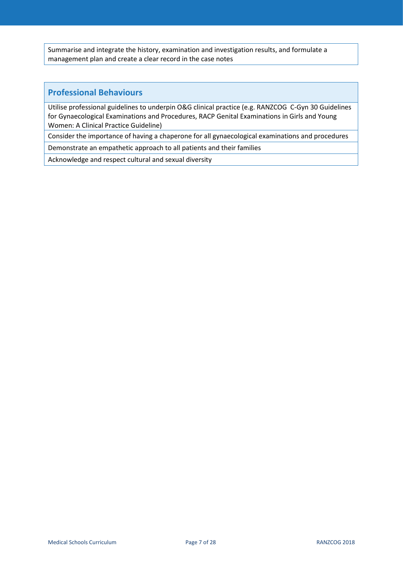Summarise and integrate the history, examination and investigation results, and formulate a management plan and create a clear record in the case notes

### <span id="page-6-0"></span>**Professional Behaviours**

Utilise professional guidelines to underpin O&G clinical practice (e.g. RANZCOG C-Gyn 30 Guidelines for Gynaecological Examinations and Procedures, RACP Genital Examinations in Girls and Young Women: A Clinical Practice Guideline)

Consider the importance of having a chaperone for all gynaecological examinations and procedures

Demonstrate an empathetic approach to all patients and their families

Acknowledge and respect cultural and sexual diversity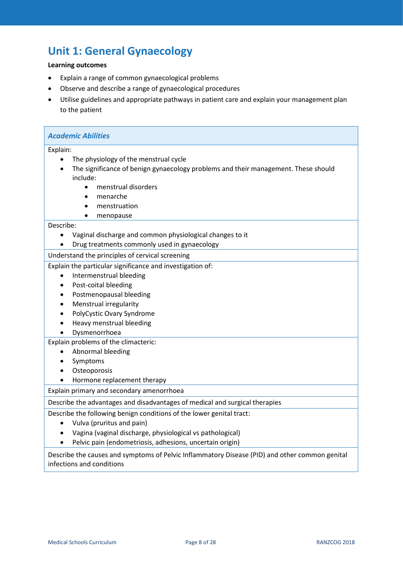# <span id="page-7-0"></span>**Unit 1: General Gynaecology**

### **Learning outcomes**

- Explain a range of common gynaecological problems
- Observe and describe a range of gynaecological procedures
- Utilise guidelines and appropriate pathways in patient care and explain your management plan to the patient

| <b>Academic Abilities</b>                                                                                                   |  |
|-----------------------------------------------------------------------------------------------------------------------------|--|
| Explain:                                                                                                                    |  |
| The physiology of the menstrual cycle                                                                                       |  |
| The significance of benign gynaecology problems and their management. These should                                          |  |
| include:                                                                                                                    |  |
| menstrual disorders<br>$\bullet$                                                                                            |  |
| menarche                                                                                                                    |  |
| menstruation<br>$\bullet$                                                                                                   |  |
| menopause<br>$\bullet$                                                                                                      |  |
| Describe:                                                                                                                   |  |
| Vaginal discharge and common physiological changes to it<br>$\bullet$                                                       |  |
| Drug treatments commonly used in gynaecology                                                                                |  |
| Understand the principles of cervical screening                                                                             |  |
| Explain the particular significance and investigation of:                                                                   |  |
| Intermenstrual bleeding<br>$\bullet$                                                                                        |  |
| Post-coital bleeding                                                                                                        |  |
| Postmenopausal bleeding                                                                                                     |  |
| Menstrual irregularity                                                                                                      |  |
| PolyCystic Ovary Syndrome                                                                                                   |  |
| Heavy menstrual bleeding                                                                                                    |  |
| Dysmenorrhoea                                                                                                               |  |
| Explain problems of the climacteric:                                                                                        |  |
| Abnormal bleeding                                                                                                           |  |
| Symptoms                                                                                                                    |  |
| Osteoporosis                                                                                                                |  |
| Hormone replacement therapy                                                                                                 |  |
| Explain primary and secondary amenorrhoea                                                                                   |  |
| Describe the advantages and disadvantages of medical and surgical therapies                                                 |  |
| Describe the following benign conditions of the lower genital tract:                                                        |  |
| Vulva (pruritus and pain)                                                                                                   |  |
| Vagina (vaginal discharge, physiological vs pathological)                                                                   |  |
| Pelvic pain (endometriosis, adhesions, uncertain origin)                                                                    |  |
| Describe the causes and symptoms of Pelvic Inflammatory Disease (PID) and other common genital<br>infections and conditions |  |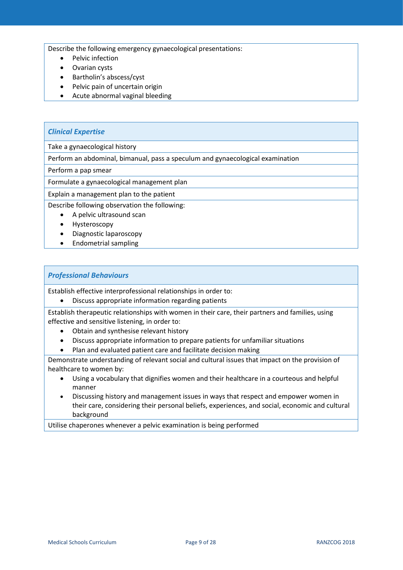Describe the following emergency gynaecological presentations:

- Pelvic infection
- Ovarian cysts
- Bartholin's abscess/cyst
- Pelvic pain of uncertain origin
- Acute abnormal vaginal bleeding

#### *Clinical Expertise*

Take a gynaecological history

Perform an abdominal, bimanual, pass a speculum and gynaecological examination

Perform a pap smear

Formulate a gynaecological management plan

Explain a management plan to the patient

Describe following observation the following:

- A pelvic ultrasound scan
- Hysteroscopy
- Diagnostic laparoscopy
- Endometrial sampling

#### *Professional Behaviours*

Establish effective interprofessional relationships in order to:

• Discuss appropriate information regarding patients

Establish therapeutic relationships with women in their care, their partners and families, using effective and sensitive listening, in order to:

- Obtain and synthesise relevant history
- Discuss appropriate information to prepare patients for unfamiliar situations
- Plan and evaluated patient care and facilitate decision making

Demonstrate understanding of relevant social and cultural issues that impact on the provision of healthcare to women by:

- Using a vocabulary that dignifies women and their healthcare in a courteous and helpful manner
- Discussing history and management issues in ways that respect and empower women in their care, considering their personal beliefs, experiences, and social, economic and cultural background

Utilise chaperones whenever a pelvic examination is being performed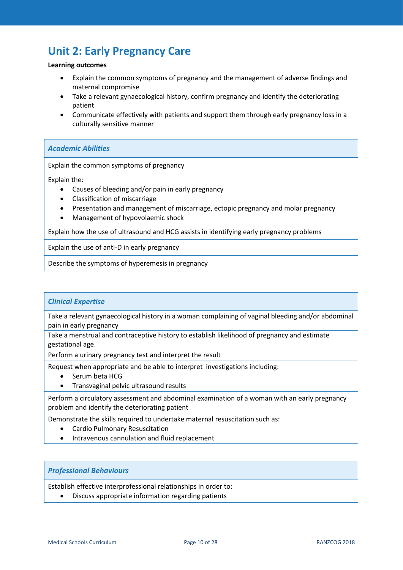### <span id="page-9-0"></span>**Unit 2: Early Pregnancy Care**

#### **Learning outcomes**

- Explain the common symptoms of pregnancy and the management of adverse findings and maternal compromise
- Take a relevant gynaecological history, confirm pregnancy and identify the deteriorating patient
- Communicate effectively with patients and support them through early pregnancy loss in a culturally sensitive manner

#### *Academic Abilities*

Explain the common symptoms of pregnancy

Explain the:

- Causes of bleeding and/or pain in early pregnancy
- Classification of miscarriage
- Presentation and management of miscarriage, ectopic pregnancy and molar pregnancy
- Management of hypovolaemic shock

Explain how the use of ultrasound and HCG assists in identifying early pregnancy problems

Explain the use of anti-D in early pregnancy

Describe the symptoms of hyperemesis in pregnancy

#### *Clinical Expertise*

Take a relevant gynaecological history in a woman complaining of vaginal bleeding and/or abdominal pain in early pregnancy

Take a menstrual and contraceptive history to establish likelihood of pregnancy and estimate gestational age.

Perform a urinary pregnancy test and interpret the result

Request when appropriate and be able to interpret investigations including:

- Serum beta HCG
- Transvaginal pelvic ultrasound results

Perform a circulatory assessment and abdominal examination of a woman with an early pregnancy problem and identify the deteriorating patient

Demonstrate the skills required to undertake maternal resuscitation such as:

- Cardio Pulmonary Resuscitation
- Intravenous cannulation and fluid replacement

#### *Professional Behaviours*

Establish effective interprofessional relationships in order to:

• Discuss appropriate information regarding patients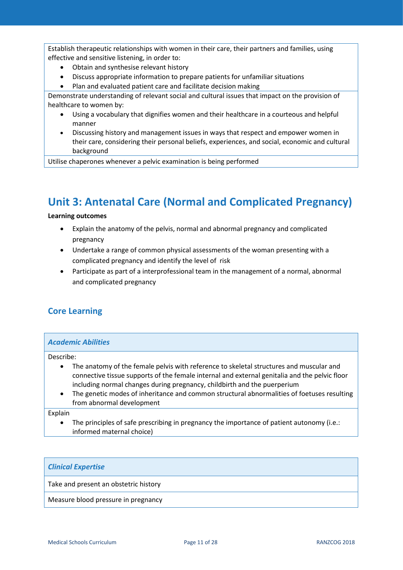Establish therapeutic relationships with women in their care, their partners and families, using effective and sensitive listening, in order to:

- Obtain and synthesise relevant history
- Discuss appropriate information to prepare patients for unfamiliar situations
- Plan and evaluated patient care and facilitate decision making

Demonstrate understanding of relevant social and cultural issues that impact on the provision of healthcare to women by:

- Using a vocabulary that dignifies women and their healthcare in a courteous and helpful manner
- Discussing history and management issues in ways that respect and empower women in their care, considering their personal beliefs, experiences, and social, economic and cultural background

Utilise chaperones whenever a pelvic examination is being performed

# <span id="page-10-0"></span>**Unit 3: Antenatal Care (Normal and Complicated Pregnancy)**

#### **Learning outcomes**

- Explain the anatomy of the pelvis, normal and abnormal pregnancy and complicated pregnancy
- Undertake a range of common physical assessments of the woman presenting with a complicated pregnancy and identify the level of risk
- Participate as part of a interprofessional team in the management of a normal, abnormal and complicated pregnancy

### <span id="page-10-1"></span>**Core Learning**

#### *Academic Abilities*

Describe:

- The anatomy of the female pelvis with reference to skeletal structures and muscular and connective tissue supports of the female internal and external genitalia and the pelvic floor including normal changes during pregnancy, childbirth and the puerperium
- The genetic modes of inheritance and common structural abnormalities of foetuses resulting from abnormal development

Explain

The principles of safe prescribing in pregnancy the importance of patient autonomy (i.e.: informed maternal choice)

#### *Clinical Expertise*

Take and present an obstetric history

Measure blood pressure in pregnancy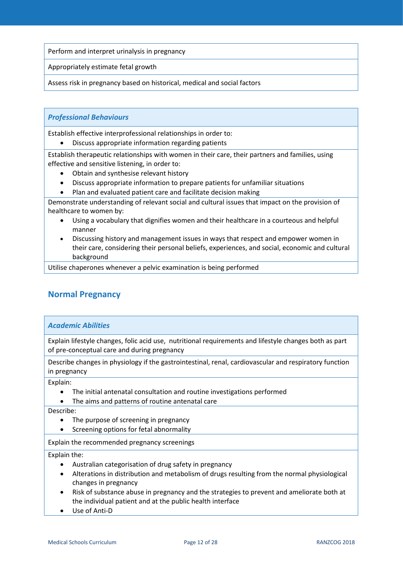Perform and interpret urinalysis in pregnancy

Appropriately estimate fetal growth

Assess risk in pregnancy based on historical, medical and social factors

#### *Professional Behaviours*

Establish effective interprofessional relationships in order to:

• Discuss appropriate information regarding patients

Establish therapeutic relationships with women in their care, their partners and families, using effective and sensitive listening, in order to:

- Obtain and synthesise relevant history
- Discuss appropriate information to prepare patients for unfamiliar situations
- Plan and evaluated patient care and facilitate decision making

Demonstrate understanding of relevant social and cultural issues that impact on the provision of healthcare to women by:

- Using a vocabulary that dignifies women and their healthcare in a courteous and helpful manner
- Discussing history and management issues in ways that respect and empower women in their care, considering their personal beliefs, experiences, and social, economic and cultural background

Utilise chaperones whenever a pelvic examination is being performed

### <span id="page-11-0"></span>**Normal Pregnancy**

#### *Academic Abilities*

Explain lifestyle changes, folic acid use, nutritional requirements and lifestyle changes both as part of pre-conceptual care and during pregnancy

Describe changes in physiology if the gastrointestinal, renal, cardiovascular and respiratory function in pregnancy

Explain:

- The initial antenatal consultation and routine investigations performed
- The aims and patterns of routine antenatal care

Describe:

- The purpose of screening in pregnancy
- Screening options for fetal abnormality

Explain the recommended pregnancy screenings

Explain the:

- Australian categorisation of drug safety in pregnancy
- Alterations in distribution and metabolism of drugs resulting from the normal physiological changes in pregnancy
- Risk of substance abuse in pregnancy and the strategies to prevent and ameliorate both at the individual patient and at the public health interface
- Use of Anti-D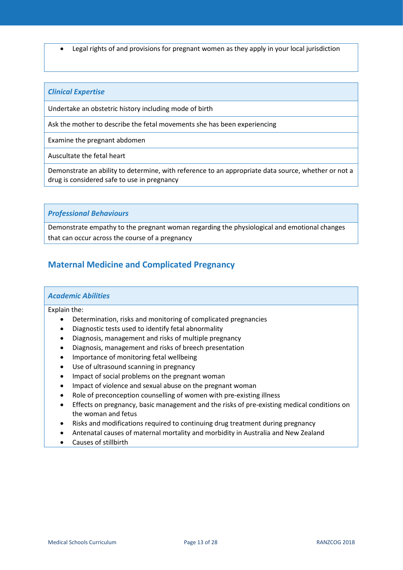• Legal rights of and provisions for pregnant women as they apply in your local jurisdiction

#### *Clinical Expertise*

Undertake an obstetric history including mode of birth

Ask the mother to describe the fetal movements she has been experiencing

Examine the pregnant abdomen

Auscultate the fetal heart

Demonstrate an ability to determine, with reference to an appropriate data source, whether or not a drug is considered safe to use in pregnancy

#### *Professional Behaviours*

Demonstrate empathy to the pregnant woman regarding the physiological and emotional changes that can occur across the course of a pregnancy

### <span id="page-12-0"></span>**Maternal Medicine and Complicated Pregnancy**

#### *Academic Abilities*

Explain the:

- Determination, risks and monitoring of complicated pregnancies
- Diagnostic tests used to identify fetal abnormality
- Diagnosis, management and risks of multiple pregnancy
- Diagnosis, management and risks of breech presentation
- Importance of monitoring fetal wellbeing
- Use of ultrasound scanning in pregnancy
- Impact of social problems on the pregnant woman
- Impact of violence and sexual abuse on the pregnant woman
- Role of preconception counselling of women with pre-existing illness
- Effects on pregnancy, basic management and the risks of pre-existing medical conditions on the woman and fetus
- Risks and modifications required to continuing drug treatment during pregnancy
- Antenatal causes of maternal mortality and morbidity in Australia and New Zealand
- Causes of stillbirth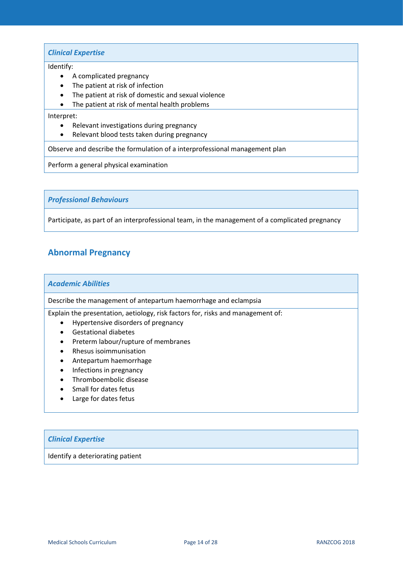#### *Clinical Expertise*

#### Identify:

- A complicated pregnancy
- The patient at risk of infection
- The patient at risk of domestic and sexual violence
- The patient at risk of mental health problems

#### Interpret:

- Relevant investigations during pregnancy
- Relevant blood tests taken during pregnancy

Observe and describe the formulation of a interprofessional management plan

Perform a general physical examination

*Professional Behaviours*

Participate, as part of an interprofessional team, in the management of a complicated pregnancy

### <span id="page-13-0"></span>**Abnormal Pregnancy**

#### *Academic Abilities*

Describe the management of antepartum haemorrhage and eclampsia

Explain the presentation, aetiology, risk factors for, risks and management of:

- Hypertensive disorders of pregnancy
- Gestational diabetes
- Preterm labour/rupture of membranes
- Rhesus isoimmunisation
- Antepartum haemorrhage
- Infections in pregnancy
- Thromboembolic disease
- Small for dates fetus
- Large for dates fetus

#### *Clinical Expertise*

Identify a deteriorating patient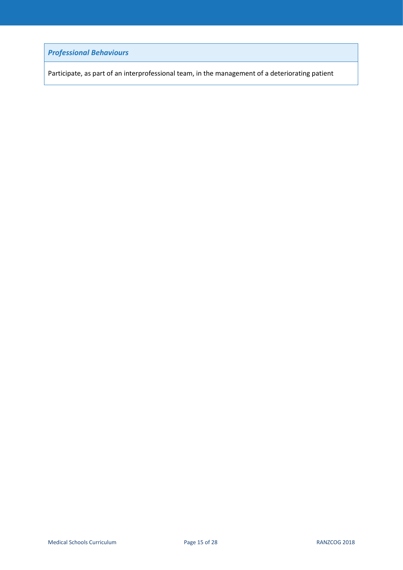*Professional Behaviours*

Participate, as part of an interprofessional team, in the management of a deteriorating patient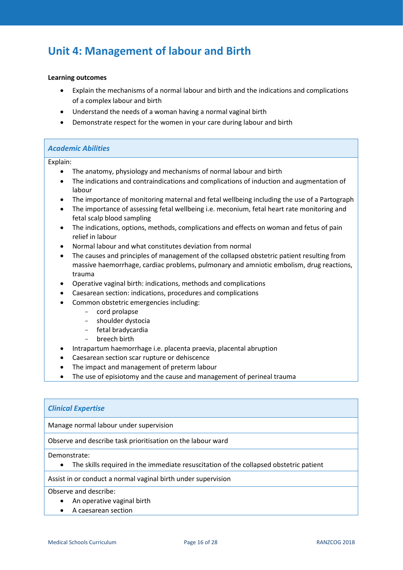### <span id="page-15-0"></span>**Unit 4: Management of labour and Birth**

#### **Learning outcomes**

- Explain the mechanisms of a normal labour and birth and the indications and complications of a complex labour and birth
- Understand the needs of a woman having a normal vaginal birth
- Demonstrate respect for the women in your care during labour and birth

#### *Academic Abilities*

#### Explain:

- The anatomy, physiology and mechanisms of normal labour and birth
- The indications and contraindications and complications of induction and augmentation of labour
- The importance of monitoring maternal and fetal wellbeing including the use of a Partograph
- The importance of assessing fetal wellbeing i.e. meconium, fetal heart rate monitoring and fetal scalp blood sampling
- The indications, options, methods, complications and effects on woman and fetus of pain relief in labour
- Normal labour and what constitutes deviation from normal
- The causes and principles of management of the collapsed obstetric patient resulting from massive haemorrhage, cardiac problems, pulmonary and amniotic embolism, drug reactions, trauma
- Operative vaginal birth: indications, methods and complications
- Caesarean section: indications, procedures and complications
- Common obstetric emergencies including:
	- cord prolapse
	- shoulder dystocia
	- fetal bradycardia
	- breech birth
- Intrapartum haemorrhage i.e. placenta praevia, placental abruption
- Caesarean section scar rupture or dehiscence
- The impact and management of preterm labour
- The use of episiotomy and the cause and management of perineal trauma

#### *Clinical Expertise*

Manage normal labour under supervision

Observe and describe task prioritisation on the labour ward

Demonstrate:

• The skills required in the immediate resuscitation of the collapsed obstetric patient

Assist in or conduct a normal vaginal birth under supervision

Observe and describe:

- An operative vaginal birth
- A caesarean section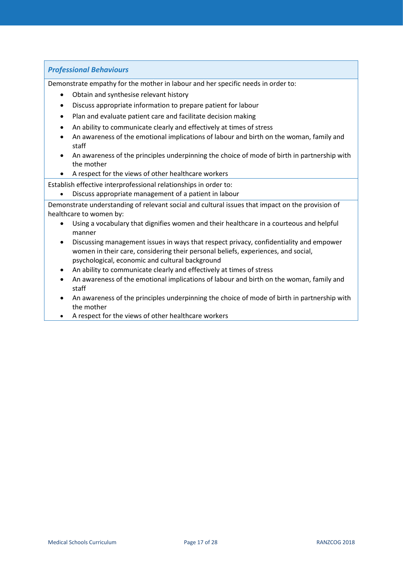#### *Professional Behaviours*

Demonstrate empathy for the mother in labour and her specific needs in order to:

- Obtain and synthesise relevant history
- Discuss appropriate information to prepare patient for labour
- Plan and evaluate patient care and facilitate decision making
- An ability to communicate clearly and effectively at times of stress
- An awareness of the emotional implications of labour and birth on the woman, family and staff
- An awareness of the principles underpinning the choice of mode of birth in partnership with the mother
- A respect for the views of other healthcare workers

Establish effective interprofessional relationships in order to:

• Discuss appropriate management of a patient in labour

Demonstrate understanding of relevant social and cultural issues that impact on the provision of healthcare to women by:

- Using a vocabulary that dignifies women and their healthcare in a courteous and helpful manner
- Discussing management issues in ways that respect privacy, confidentiality and empower women in their care, considering their personal beliefs, experiences, and social, psychological, economic and cultural background
- An ability to communicate clearly and effectively at times of stress
- An awareness of the emotional implications of labour and birth on the woman, family and staff
- An awareness of the principles underpinning the choice of mode of birth in partnership with the mother
- A respect for the views of other healthcare workers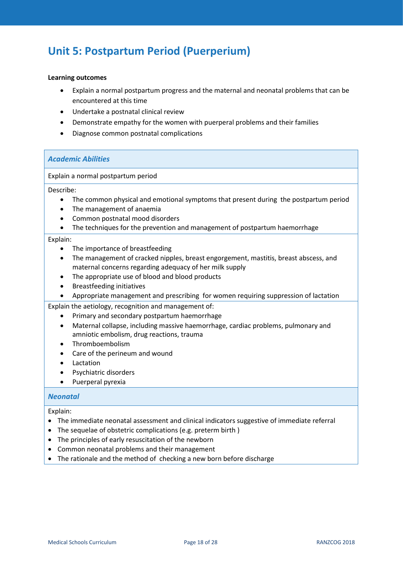# <span id="page-17-0"></span>**Unit 5: Postpartum Period (Puerperium)**

#### **Learning outcomes**

- Explain a normal postpartum progress and the maternal and neonatal problems that can be encountered at this time
- Undertake a postnatal clinical review
- Demonstrate empathy for the women with puerperal problems and their families
- Diagnose common postnatal complications

#### *Academic Abilities*

Explain a normal postpartum period

#### Describe:

- The common physical and emotional symptoms that present during the postpartum period
- The management of anaemia
- Common postnatal mood disorders
- The techniques for the prevention and management of postpartum haemorrhage

#### Explain:

- The importance of breastfeeding
- The management of cracked nipples, breast engorgement, mastitis, breast abscess, and maternal concerns regarding adequacy of her milk supply
- The appropriate use of blood and blood products
- Breastfeeding initiatives
- Appropriate management and prescribing for women requiring suppression of lactation

Explain the aetiology, recognition and management of:

- Primary and secondary postpartum haemorrhage
- Maternal collapse, including massive haemorrhage, cardiac problems, pulmonary and amniotic embolism, drug reactions, trauma
- Thromboembolism
- Care of the perineum and wound
- Lactation
- Psychiatric disorders
- Puerperal pyrexia

#### *Neonatal*

#### Explain:

- The immediate neonatal assessment and clinical indicators suggestive of immediate referral
- The sequelae of obstetric complications (e.g. preterm birth )
- The principles of early resuscitation of the newborn
- Common neonatal problems and their management
- The rationale and the method of checking a new born before discharge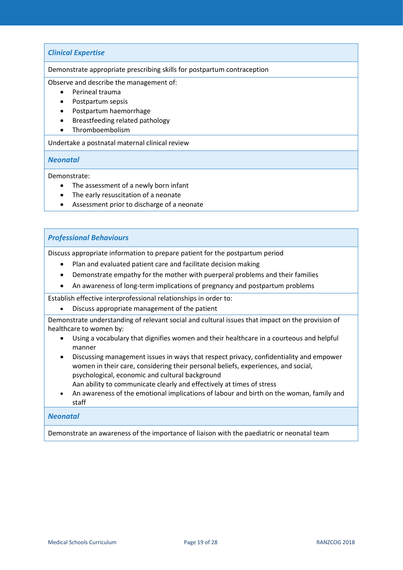#### *Clinical Expertise*

Demonstrate appropriate prescribing skills for postpartum contraception

Observe and describe the management of:

- Perineal trauma
- Postpartum sepsis
- Postpartum haemorrhage
- Breastfeeding related pathology
- Thromboembolism

Undertake a postnatal maternal clinical review

#### *Neonatal*

Demonstrate:

- The assessment of a newly born infant
- The early resuscitation of a neonate
- Assessment prior to discharge of a neonate

#### *Professional Behaviours*

Discuss appropriate information to prepare patient for the postpartum period

- Plan and evaluated patient care and facilitate decision making
- Demonstrate empathy for the mother with puerperal problems and their families
- An awareness of long-term implications of pregnancy and postpartum problems

Establish effective interprofessional relationships in order to:

• Discuss appropriate management of the patient

Demonstrate understanding of relevant social and cultural issues that impact on the provision of healthcare to women by:

- Using a vocabulary that dignifies women and their healthcare in a courteous and helpful manner
- Discussing management issues in ways that respect privacy, confidentiality and empower women in their care, considering their personal beliefs, experiences, and social, psychological, economic and cultural background

Aan ability to communicate clearly and effectively at times of stress

• An awareness of the emotional implications of labour and birth on the woman, family and staff

#### *Neonatal*

Demonstrate an awareness of the importance of liaison with the paediatric or neonatal team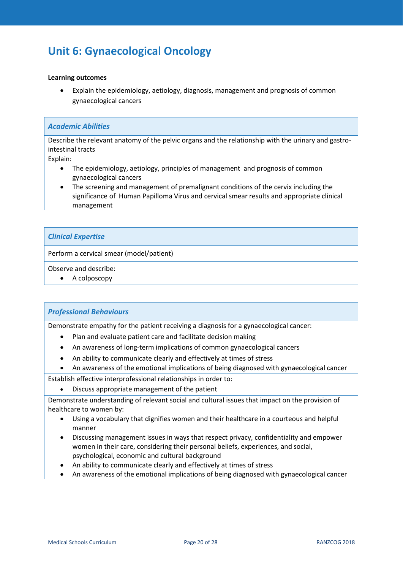# <span id="page-19-0"></span>**Unit 6: Gynaecological Oncology**

#### **Learning outcomes**

• Explain the epidemiology, aetiology, diagnosis, management and prognosis of common gynaecological cancers

#### *Academic Abilities*

Describe the relevant anatomy of the pelvic organs and the relationship with the urinary and gastrointestinal tracts

Explain:

- The epidemiology, aetiology, principles of management and prognosis of common gynaecological cancers
- The screening and management of premalignant conditions of the cervix including the significance of Human Papilloma Virus and cervical smear results and appropriate clinical management

#### *Clinical Expertise*

Perform a cervical smear (model/patient)

Observe and describe:

• A colposcopy

#### *Professional Behaviours*

Demonstrate empathy for the patient receiving a diagnosis for a gynaecological cancer:

- Plan and evaluate patient care and facilitate decision making
- An awareness of long-term implications of common gynaecological cancers
- An ability to communicate clearly and effectively at times of stress
- An awareness of the emotional implications of being diagnosed with gynaecological cancer
- Establish effective interprofessional relationships in order to:
	- Discuss appropriate management of the patient

Demonstrate understanding of relevant social and cultural issues that impact on the provision of healthcare to women by:

- Using a vocabulary that dignifies women and their healthcare in a courteous and helpful manner
- Discussing management issues in ways that respect privacy, confidentiality and empower women in their care, considering their personal beliefs, experiences, and social, psychological, economic and cultural background
- An ability to communicate clearly and effectively at times of stress
- An awareness of the emotional implications of being diagnosed with gynaecological cancer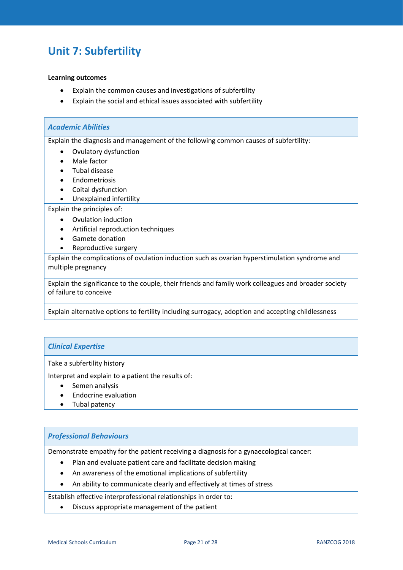## <span id="page-20-0"></span>**Unit 7: Subfertility**

#### **Learning outcomes**

- Explain the common causes and investigations of subfertility
- Explain the social and ethical issues associated with subfertility

# *Academic Abilities*

Explain the diagnosis and management of the following common causes of subfertility:

- Ovulatory dysfunction
- Male factor
- Tubal disease
- Endometriosis
- Coital dysfunction
- Unexplained infertility

Explain the principles of:

- Ovulation induction
- Artificial reproduction techniques
- Gamete donation
- Reproductive surgery

Explain the complications of ovulation induction such as ovarian hyperstimulation syndrome and multiple pregnancy

Explain the significance to the couple, their friends and family work colleagues and broader society of failure to conceive

Explain alternative options to fertility including surrogacy, adoption and accepting childlessness

#### *Clinical Expertise*

Take a subfertility history

Interpret and explain to a patient the results of:

- Semen analysis
- Endocrine evaluation
- Tubal patency

#### *Professional Behaviours*

Demonstrate empathy for the patient receiving a diagnosis for a gynaecological cancer:

- Plan and evaluate patient care and facilitate decision making
- An awareness of the emotional implications of subfertility
- An ability to communicate clearly and effectively at times of stress

Establish effective interprofessional relationships in order to:

• Discuss appropriate management of the patient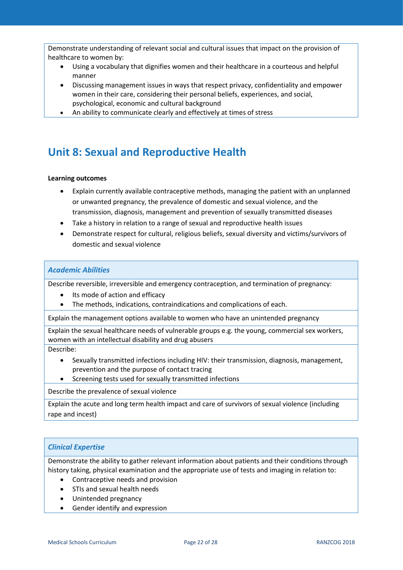Demonstrate understanding of relevant social and cultural issues that impact on the provision of healthcare to women by:

- Using a vocabulary that dignifies women and their healthcare in a courteous and helpful manner
- Discussing management issues in ways that respect privacy, confidentiality and empower women in their care, considering their personal beliefs, experiences, and social, psychological, economic and cultural background
- An ability to communicate clearly and effectively at times of stress

# <span id="page-21-0"></span>**Unit 8: Sexual and Reproductive Health**

#### **Learning outcomes**

- Explain currently available contraceptive methods, managing the patient with an unplanned or unwanted pregnancy, the prevalence of domestic and sexual violence, and the transmission, diagnosis, management and prevention of sexually transmitted diseases
- Take a history in relation to a range of sexual and reproductive health issues
- Demonstrate respect for cultural, religious beliefs, sexual diversity and victims/survivors of domestic and sexual violence

#### *Academic Abilities*

Describe reversible, irreversible and emergency contraception, and termination of pregnancy:

- Its mode of action and efficacy
- The methods, indications, contraindications and complications of each.

Explain the management options available to women who have an unintended pregnancy

Explain the sexual healthcare needs of vulnerable groups e.g. the young, commercial sex workers, women with an intellectual disability and drug abusers

Describe:

- Sexually transmitted infections including HIV: their transmission, diagnosis, management, prevention and the purpose of contact tracing
- Screening tests used for sexually transmitted infections

Describe the prevalence of sexual violence

Explain the acute and long term health impact and care of survivors of sexual violence (including rape and incest)

#### *Clinical Expertise*

Demonstrate the ability to gather relevant information about patients and their conditions through history taking, physical examination and the appropriate use of tests and imaging in relation to:

- Contraceptive needs and provision
- STIs and sexual health needs
- Unintended pregnancy
- Gender identify and expression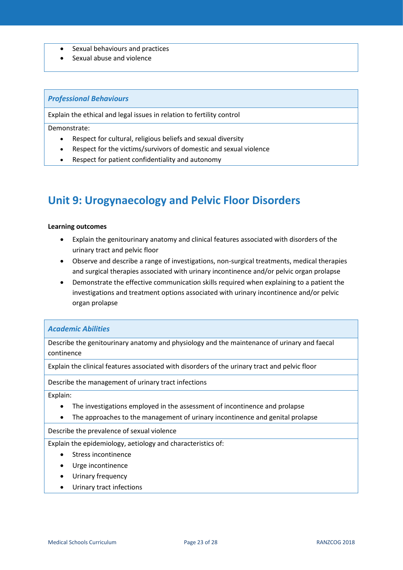- Sexual behaviours and practices
- Sexual abuse and violence

#### *Professional Behaviours*

Explain the ethical and legal issues in relation to fertility control

Demonstrate:

- Respect for cultural, religious beliefs and sexual diversity
- Respect for the victims/survivors of domestic and sexual violence
- Respect for patient confidentiality and autonomy

### <span id="page-22-0"></span>**Unit 9: Urogynaecology and Pelvic Floor Disorders**

#### **Learning outcomes**

- Explain the genitourinary anatomy and clinical features associated with disorders of the urinary tract and pelvic floor
- Observe and describe a range of investigations, non-surgical treatments, medical therapies and surgical therapies associated with urinary incontinence and/or pelvic organ prolapse
- Demonstrate the effective communication skills required when explaining to a patient the investigations and treatment options associated with urinary incontinence and/or pelvic organ prolapse

#### *Academic Abilities*

Describe the genitourinary anatomy and physiology and the maintenance of urinary and faecal continence

Explain the clinical features associated with disorders of the urinary tract and pelvic floor

Describe the management of urinary tract infections

Explain:

- The investigations employed in the assessment of incontinence and prolapse
- The approaches to the management of urinary incontinence and genital prolapse

Describe the prevalence of sexual violence

Explain the epidemiology, aetiology and characteristics of:

- Stress incontinence
- Urge incontinence
- Urinary frequency
- Urinary tract infections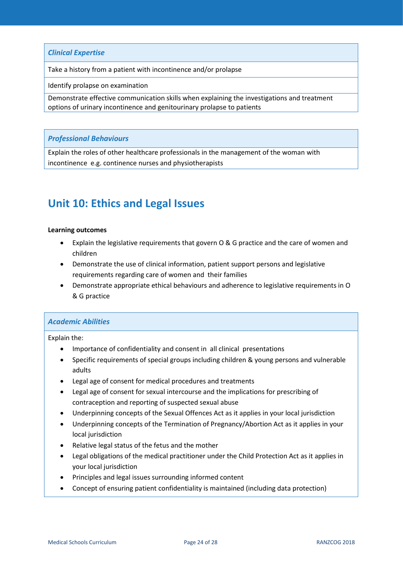*Clinical Expertise*

Take a history from a patient with incontinence and/or prolapse

Identify prolapse on examination

Demonstrate effective communication skills when explaining the investigations and treatment options of urinary incontinence and genitourinary prolapse to patients

#### *Professional Behaviours*

Explain the roles of other healthcare professionals in the management of the woman with incontinence e.g. continence nurses and physiotherapists

### <span id="page-23-0"></span>**Unit 10: Ethics and Legal Issues**

#### **Learning outcomes**

- Explain the legislative requirements that govern O & G practice and the care of women and children
- Demonstrate the use of clinical information, patient support persons and legislative requirements regarding care of women and their families
- Demonstrate appropriate ethical behaviours and adherence to legislative requirements in O & G practice

#### *Academic Abilities*

Explain the:

- Importance of confidentiality and consent in all clinical presentations
- Specific requirements of special groups including children & young persons and vulnerable adults
- Legal age of consent for medical procedures and treatments
- Legal age of consent for sexual intercourse and the implications for prescribing of contraception and reporting of suspected sexual abuse
- Underpinning concepts of the Sexual Offences Act as it applies in your local jurisdiction
- Underpinning concepts of the Termination of Pregnancy/Abortion Act as it applies in your local jurisdiction
- Relative legal status of the fetus and the mother
- Legal obligations of the medical practitioner under the Child Protection Act as it applies in your local jurisdiction
- Principles and legal issues surrounding informed content
- Concept of ensuring patient confidentiality is maintained (including data protection)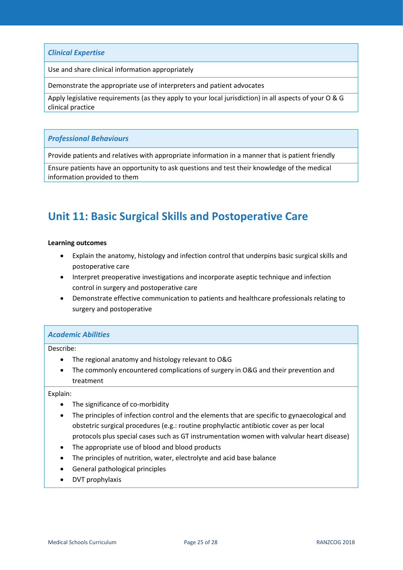Use and share clinical information appropriately

Demonstrate the appropriate use of interpreters and patient advocates

Apply legislative requirements (as they apply to your local jurisdiction) in all aspects of your O & G clinical practice

#### *Professional Behaviours*

Provide patients and relatives with appropriate information in a manner that is patient friendly

Ensure patients have an opportunity to ask questions and test their knowledge of the medical information provided to them

### <span id="page-24-0"></span>**Unit 11: Basic Surgical Skills and Postoperative Care**

#### **Learning outcomes**

- Explain the anatomy, histology and infection control that underpins basic surgical skills and postoperative care
- Interpret preoperative investigations and incorporate aseptic technique and infection control in surgery and postoperative care
- Demonstrate effective communication to patients and healthcare professionals relating to surgery and postoperative

#### *Academic Abilities*

Describe:

- The regional anatomy and histology relevant to O&G
- The commonly encountered complications of surgery in O&G and their prevention and treatment

#### Explain:

- The significance of co-morbidity
- The principles of infection control and the elements that are specific to gynaecological and obstetric surgical procedures (e.g.: routine prophylactic antibiotic cover as per local protocols plus special cases such as GT instrumentation women with valvular heart disease)
- The appropriate use of blood and blood products
- The principles of nutrition, water, electrolyte and acid base balance
- General pathological principles
- DVT prophylaxis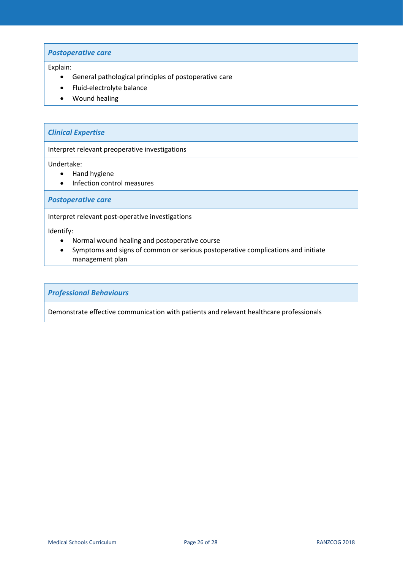#### *Postoperative care*

#### Explain:

- General pathological principles of postoperative care
- Fluid-electrolyte balance
- Wound healing

#### *Clinical Expertise*

Interpret relevant preoperative investigations

Undertake:

- Hand hygiene
- Infection control measures

*Postoperative care*

Interpret relevant post-operative investigations

Identify:

- Normal wound healing and postoperative course
- Symptoms and signs of common or serious postoperative complications and initiate management plan

*Professional Behaviours*

Demonstrate effective communication with patients and relevant healthcare professionals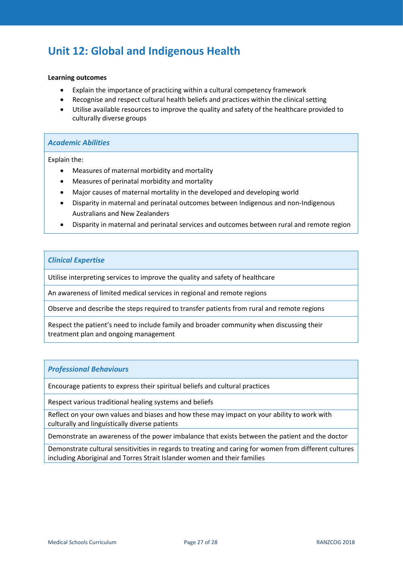## <span id="page-26-0"></span>**Unit 12: Global and Indigenous Health**

#### **Learning outcomes**

- Explain the importance of practicing within a cultural competency framework
- Recognise and respect cultural health beliefs and practices within the clinical setting
- Utilise available resources to improve the quality and safety of the healthcare provided to culturally diverse groups

#### *Academic Abilities*

Explain the:

- Measures of maternal morbidity and mortality
- Measures of perinatal morbidity and mortality
- Major causes of maternal mortality in the developed and developing world
- Disparity in maternal and perinatal outcomes between Indigenous and non-Indigenous Australians and New Zealanders
- Disparity in maternal and perinatal services and outcomes between rural and remote region

#### *Clinical Expertise*

Utilise interpreting services to improve the quality and safety of healthcare

An awareness of limited medical services in regional and remote regions

Observe and describe the steps required to transfer patients from rural and remote regions

Respect the patient's need to include family and broader community when discussing their treatment plan and ongoing management

#### *Professional Behaviours*

Encourage patients to express their spiritual beliefs and cultural practices

Respect various traditional healing systems and beliefs

Reflect on your own values and biases and how these may impact on your ability to work with culturally and linguistically diverse patients

Demonstrate an awareness of the power imbalance that exists between the patient and the doctor

Demonstrate cultural sensitivities in regards to treating and caring for women from different cultures including Aboriginal and Torres Strait Islander women and their families